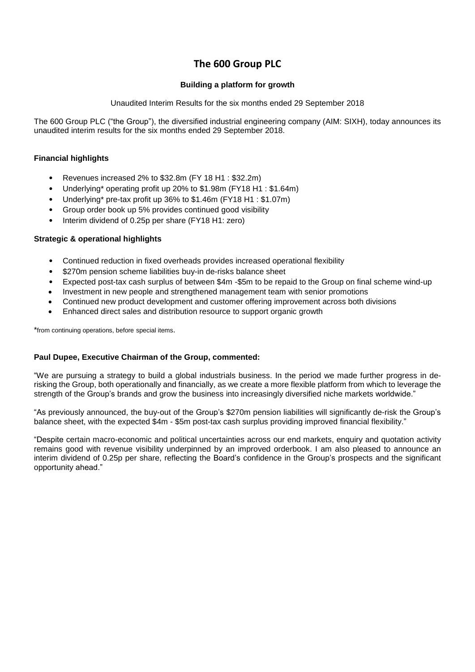# **The 600 Group PLC**

# **Building a platform for growth**

Unaudited Interim Results for the six months ended 29 September 2018

The 600 Group PLC ("the Group"), the diversified industrial engineering company (AIM: SIXH), today announces its unaudited interim results for the six months ended 29 September 2018.

# **Financial highlights**

- Revenues increased 2% to \$32.8m (FY 18 H1 : \$32.2m)
- Underlying\* operating profit up 20% to \$1.98m (FY18 H1 : \$1.64m)
- Underlying\* pre-tax profit up 36% to \$1.46m (FY18 H1 : \$1.07m)
- Group order book up 5% provides continued good visibility
- Interim dividend of 0.25p per share (FY18 H1: zero)

# **Strategic & operational highlights**

- Continued reduction in fixed overheads provides increased operational flexibility
- \$270m pension scheme liabilities buy-in de-risks balance sheet
- Expected post-tax cash surplus of between \$4m -\$5m to be repaid to the Group on final scheme wind-up
- Investment in new people and strengthened management team with senior promotions
- Continued new product development and customer offering improvement across both divisions
- Enhanced direct sales and distribution resource to support organic growth

\*from continuing operations, before special items.

# **Paul Dupee, Executive Chairman of the Group, commented:**

"We are pursuing a strategy to build a global industrials business. In the period we made further progress in derisking the Group, both operationally and financially, as we create a more flexible platform from which to leverage the strength of the Group's brands and grow the business into increasingly diversified niche markets worldwide."

"As previously announced, the buy-out of the Group's \$270m pension liabilities will significantly de-risk the Group's balance sheet, with the expected \$4m - \$5m post-tax cash surplus providing improved financial flexibility."

"Despite certain macro-economic and political uncertainties across our end markets, enquiry and quotation activity remains good with revenue visibility underpinned by an improved orderbook. I am also pleased to announce an interim dividend of 0.25p per share, reflecting the Board's confidence in the Group's prospects and the significant opportunity ahead."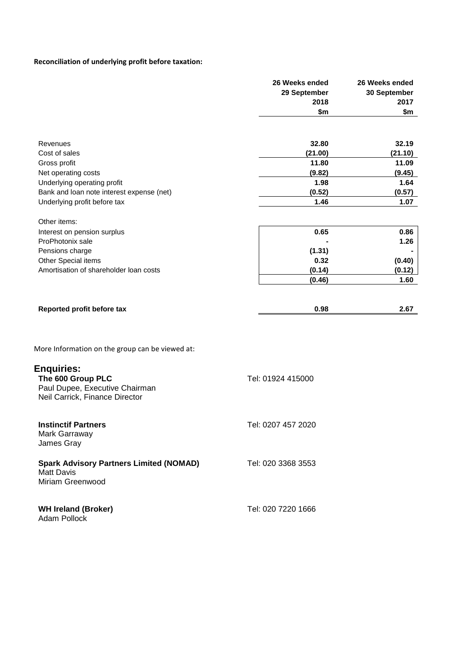# **Reconciliation of underlying profit before taxation:**

|                                                                                                                                              | 26 Weeks ended<br>29 September<br>2018<br>\$m         | 26 Weeks ended<br>30 September<br>2017<br>\$m         |
|----------------------------------------------------------------------------------------------------------------------------------------------|-------------------------------------------------------|-------------------------------------------------------|
| Revenues<br>Cost of sales<br>Gross profit<br>Net operating costs<br>Underlying operating profit<br>Bank and loan note interest expense (net) | 32.80<br>(21.00)<br>11.80<br>(9.82)<br>1.98<br>(0.52) | 32.19<br>(21.10)<br>11.09<br>(9.45)<br>1.64<br>(0.57) |
| Underlying profit before tax<br>Other items:                                                                                                 | 1.46                                                  | 1.07                                                  |
| Interest on pension surplus<br>ProPhotonix sale<br>Pensions charge<br>Other Special items<br>Amortisation of shareholder loan costs          | 0.65<br>(1.31)<br>0.32<br>(0.14)<br>(0.46)            | 0.86<br>1.26<br>(0.40)<br>(0.12)<br>1.60              |
| Reported profit before tax                                                                                                                   | 0.98                                                  | 2.67                                                  |
| More Information on the group can be viewed at:                                                                                              |                                                       |                                                       |
| <b>Enquiries:</b><br>The 600 Group PLC<br>Paul Dupee, Executive Chairman<br>Neil Carrick, Finance Director                                   | Tel: 01924 415000                                     |                                                       |
| <b>Instinctif Partners</b><br>Mark Garraway<br>James Gray                                                                                    | Tel: 0207 457 2020                                    |                                                       |
| <b>Spark Advisory Partners Limited (NOMAD)</b><br><b>Matt Davis</b><br>Miriam Greenwood                                                      | Tel: 020 3368 3553                                    |                                                       |
| <b>WH Ireland (Broker)</b><br>Adam Pollock                                                                                                   | Tel: 020 7220 1666                                    |                                                       |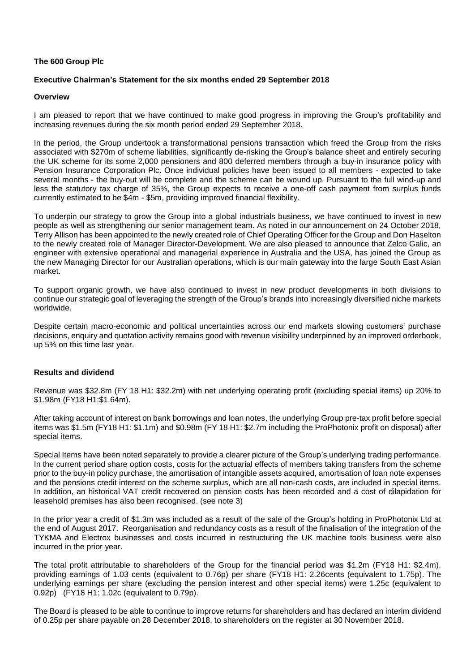### **The 600 Group Plc**

## **Executive Chairman's Statement for the six months ended 29 September 2018**

### **Overview**

I am pleased to report that we have continued to make good progress in improving the Group's profitability and increasing revenues during the six month period ended 29 September 2018.

In the period, the Group undertook a transformational pensions transaction which freed the Group from the risks associated with \$270m of scheme liabilities, significantly de-risking the Group's balance sheet and entirely securing the UK scheme for its some 2,000 pensioners and 800 deferred members through a buy-in insurance policy with Pension Insurance Corporation Plc. Once individual policies have been issued to all members - expected to take several months - the buy-out will be complete and the scheme can be wound up. Pursuant to the full wind-up and less the statutory tax charge of 35%, the Group expects to receive a one-off cash payment from surplus funds currently estimated to be \$4m - \$5m, providing improved financial flexibility.

To underpin our strategy to grow the Group into a global industrials business, we have continued to invest in new people as well as strengthening our senior management team. As noted in our announcement on 24 October 2018, Terry Allison has been appointed to the newly created role of Chief Operating Officer for the Group and Don Haselton to the newly created role of Manager Director-Development. We are also pleased to announce that Zelco Galic, an engineer with extensive operational and managerial experience in Australia and the USA, has joined the Group as the new Managing Director for our Australian operations, which is our main gateway into the large South East Asian market.

To support organic growth, we have also continued to invest in new product developments in both divisions to continue our strategic goal of leveraging the strength of the Group's brands into increasingly diversified niche markets worldwide.

Despite certain macro-economic and political uncertainties across our end markets slowing customers' purchase decisions, enquiry and quotation activity remains good with revenue visibility underpinned by an improved orderbook, up 5% on this time last year.

# **Results and dividend**

Revenue was \$32.8m (FY 18 H1: \$32.2m) with net underlying operating profit (excluding special items) up 20% to \$1.98m (FY18 H1:\$1.64m).

After taking account of interest on bank borrowings and loan notes, the underlying Group pre-tax profit before special items was \$1.5m (FY18 H1: \$1.1m) and \$0.98m (FY 18 H1: \$2.7m including the ProPhotonix profit on disposal) after special items.

Special Items have been noted separately to provide a clearer picture of the Group's underlying trading performance. In the current period share option costs, costs for the actuarial effects of members taking transfers from the scheme prior to the buy-in policy purchase, the amortisation of intangible assets acquired, amortisation of loan note expenses and the pensions credit interest on the scheme surplus, which are all non-cash costs, are included in special items. In addition, an historical VAT credit recovered on pension costs has been recorded and a cost of dilapidation for leasehold premises has also been recognised. (see note 3)

In the prior year a credit of \$1.3m was included as a result of the sale of the Group's holding in ProPhotonix Ltd at the end of August 2017. Reorganisation and redundancy costs as a result of the finalisation of the integration of the TYKMA and Electrox businesses and costs incurred in restructuring the UK machine tools business were also incurred in the prior year.

The total profit attributable to shareholders of the Group for the financial period was \$1.2m (FY18 H1: \$2.4m), providing earnings of 1.03 cents (equivalent to 0.76p) per share (FY18 H1: 2.26cents (equivalent to 1.75p). The underlying earnings per share (excluding the pension interest and other special items) were 1.25c (equivalent to 0.92p) (FY18 H1: 1.02c (equivalent to 0.79p).

The Board is pleased to be able to continue to improve returns for shareholders and has declared an interim dividend of 0.25p per share payable on 28 December 2018, to shareholders on the register at 30 November 2018.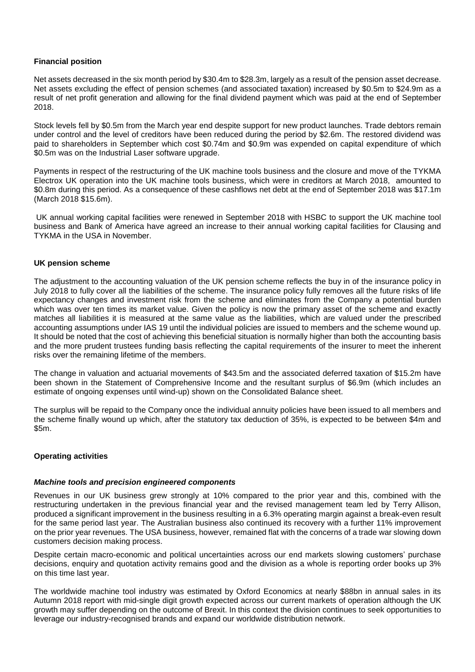### **Financial position**

Net assets decreased in the six month period by \$30.4m to \$28.3m, largely as a result of the pension asset decrease. Net assets excluding the effect of pension schemes (and associated taxation) increased by \$0.5m to \$24.9m as a result of net profit generation and allowing for the final dividend payment which was paid at the end of September 2018.

Stock levels fell by \$0.5m from the March year end despite support for new product launches. Trade debtors remain under control and the level of creditors have been reduced during the period by \$2.6m. The restored dividend was paid to shareholders in September which cost \$0.74m and \$0.9m was expended on capital expenditure of which \$0.5m was on the Industrial Laser software upgrade.

Payments in respect of the restructuring of the UK machine tools business and the closure and move of the TYKMA Electrox UK operation into the UK machine tools business, which were in creditors at March 2018, amounted to \$0.8m during this period. As a consequence of these cashflows net debt at the end of September 2018 was \$17.1m (March 2018 \$15.6m).

UK annual working capital facilities were renewed in September 2018 with HSBC to support the UK machine tool business and Bank of America have agreed an increase to their annual working capital facilities for Clausing and TYKMA in the USA in November.

## **UK pension scheme**

The adjustment to the accounting valuation of the UK pension scheme reflects the buy in of the insurance policy in July 2018 to fully cover all the liabilities of the scheme. The insurance policy fully removes all the future risks of life expectancy changes and investment risk from the scheme and eliminates from the Company a potential burden which was over ten times its market value. Given the policy is now the primary asset of the scheme and exactly matches all liabilities it is measured at the same value as the liabilities, which are valued under the prescribed accounting assumptions under IAS 19 until the individual policies are issued to members and the scheme wound up. It should be noted that the cost of achieving this beneficial situation is normally higher than both the accounting basis and the more prudent trustees funding basis reflecting the capital requirements of the insurer to meet the inherent risks over the remaining lifetime of the members.

The change in valuation and actuarial movements of \$43.5m and the associated deferred taxation of \$15.2m have been shown in the Statement of Comprehensive Income and the resultant surplus of \$6.9m (which includes an estimate of ongoing expenses until wind-up) shown on the Consolidated Balance sheet.

The surplus will be repaid to the Company once the individual annuity policies have been issued to all members and the scheme finally wound up which, after the statutory tax deduction of 35%, is expected to be between \$4m and \$5m.

### **Operating activities**

### *Machine tools and precision engineered components*

Revenues in our UK business grew strongly at 10% compared to the prior year and this, combined with the restructuring undertaken in the previous financial year and the revised management team led by Terry Allison, produced a significant improvement in the business resulting in a 6.3% operating margin against a break-even result for the same period last year. The Australian business also continued its recovery with a further 11% improvement on the prior year revenues. The USA business, however, remained flat with the concerns of a trade war slowing down customers decision making process.

Despite certain macro-economic and political uncertainties across our end markets slowing customers' purchase decisions, enquiry and quotation activity remains good and the division as a whole is reporting order books up 3% on this time last year.

The worldwide machine tool industry was estimated by Oxford Economics at nearly \$88bn in annual sales in its Autumn 2018 report with mid-single digit growth expected across our current markets of operation although the UK growth may suffer depending on the outcome of Brexit. In this context the division continues to seek opportunities to leverage our industry-recognised brands and expand our worldwide distribution network.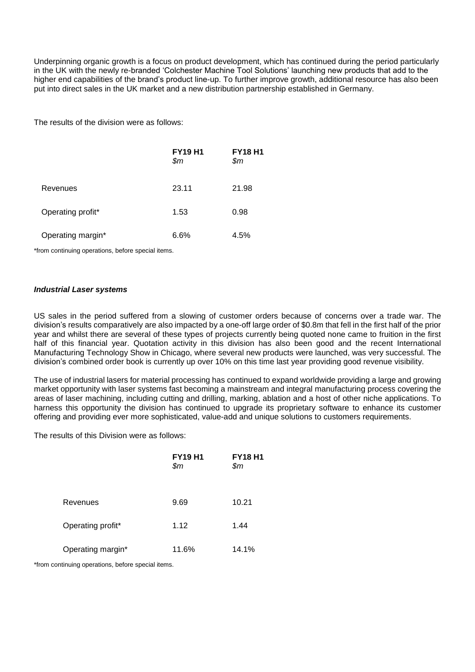Underpinning organic growth is a focus on product development, which has continued during the period particularly in the UK with the newly re-branded 'Colchester Machine Tool Solutions' launching new products that add to the higher end capabilities of the brand's product line-up. To further improve growth, additional resource has also been put into direct sales in the UK market and a new distribution partnership established in Germany.

The results of the division were as follows:

|                   | <b>FY19 H1</b><br>\$m | <b>FY18 H1</b><br>\$m\$ |
|-------------------|-----------------------|-------------------------|
| Revenues          | 23.11                 | 21.98                   |
| Operating profit* | 1.53                  | 0.98                    |
| Operating margin* | 6.6%                  | 4.5%                    |

\*from continuing operations, before special items.

### *Industrial Laser systems*

US sales in the period suffered from a slowing of customer orders because of concerns over a trade war. The division's results comparatively are also impacted by a one-off large order of \$0.8m that fell in the first half of the prior year and whilst there are several of these types of projects currently being quoted none came to fruition in the first half of this financial year. Quotation activity in this division has also been good and the recent International Manufacturing Technology Show in Chicago, where several new products were launched, was very successful. The division's combined order book is currently up over 10% on this time last year providing good revenue visibility.

The use of industrial lasers for material processing has continued to expand worldwide providing a large and growing market opportunity with laser systems fast becoming a mainstream and integral manufacturing process covering the areas of laser machining, including cutting and drilling, marking, ablation and a host of other niche applications. To harness this opportunity the division has continued to upgrade its proprietary software to enhance its customer offering and providing ever more sophisticated, value-add and unique solutions to customers requirements.

The results of this Division were as follows:

|                   | <b>FY19 H1</b><br>\$m | <b>FY18 H1</b><br>\$m\$ |
|-------------------|-----------------------|-------------------------|
| Revenues          | 9.69                  | 10.21                   |
| Operating profit* | 1.12                  | 1.44                    |
| Operating margin* | 11.6%                 | 14.1%                   |

\*from continuing operations, before special items.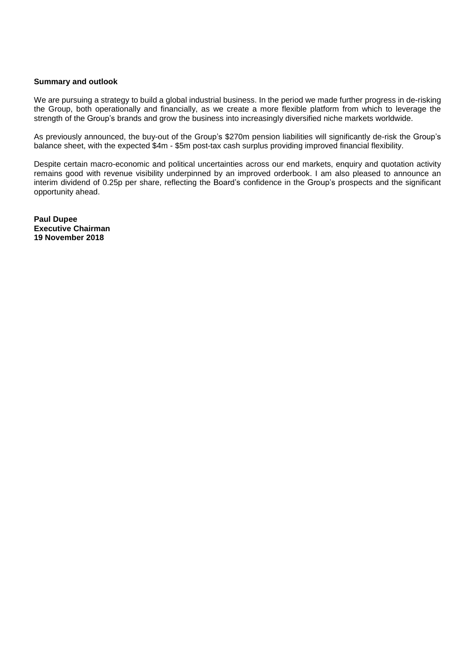### **Summary and outlook**

We are pursuing a strategy to build a global industrial business. In the period we made further progress in de-risking the Group, both operationally and financially, as we create a more flexible platform from which to leverage the strength of the Group's brands and grow the business into increasingly diversified niche markets worldwide.

As previously announced, the buy-out of the Group's \$270m pension liabilities will significantly de-risk the Group's balance sheet, with the expected \$4m - \$5m post-tax cash surplus providing improved financial flexibility.

Despite certain macro-economic and political uncertainties across our end markets, enquiry and quotation activity remains good with revenue visibility underpinned by an improved orderbook. I am also pleased to announce an interim dividend of 0.25p per share, reflecting the Board's confidence in the Group's prospects and the significant opportunity ahead.

**Paul Dupee Executive Chairman 19 November 2018**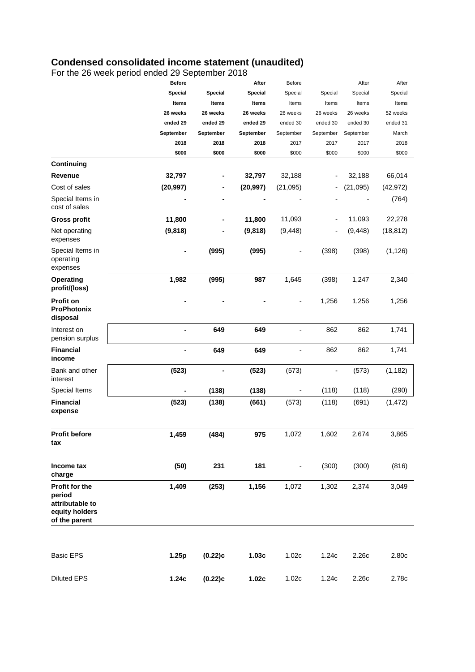# **Condensed consolidated income statement (unaudited)**

For the 26 week period ended 29 September 2018

|                                                                                | <b>Before</b> |           | After        | Before         |           | After     | After     |
|--------------------------------------------------------------------------------|---------------|-----------|--------------|----------------|-----------|-----------|-----------|
|                                                                                | Special       | Special   | Special      | Special        | Special   | Special   | Special   |
|                                                                                | Items         | Items     | <b>Items</b> | Items          | Items     | Items     | Items     |
|                                                                                | 26 weeks      | 26 weeks  | 26 weeks     | 26 weeks       | 26 weeks  | 26 weeks  | 52 weeks  |
|                                                                                | ended 29      | ended 29  | ended 29     | ended 30       | ended 30  | ended 30  | ended 31  |
|                                                                                | September     | September | September    | September      | September | September | March     |
|                                                                                | 2018          | 2018      | 2018         | 2017           | 2017      | 2017      | 2018      |
|                                                                                | \$000         | \$000     | \$000        | \$000          | \$000     | \$000     | \$000     |
| Continuing                                                                     |               |           |              |                |           |           |           |
| Revenue                                                                        | 32,797        |           | 32,797       | 32,188         |           | 32,188    | 66,014    |
| Cost of sales                                                                  | (20, 997)     |           | (20, 997)    | (21,095)       | ۰         | (21, 095) | (42, 972) |
| Special Items in<br>cost of sales                                              |               |           |              |                |           |           | (764)     |
| <b>Gross profit</b>                                                            | 11,800        |           | 11,800       | 11,093         | ۰         | 11,093    | 22,278    |
| Net operating<br>expenses                                                      | (9,818)       |           | (9,818)      | (9, 448)       |           | (9, 448)  | (18, 812) |
| Special Items in<br>operating<br>expenses                                      | -             | (995)     | (995)        |                | (398)     | (398)     | (1, 126)  |
| <b>Operating</b><br>profit/(loss)                                              | 1,982         | (995)     | 987          | 1,645          | (398)     | 1,247     | 2,340     |
| <b>Profit on</b><br><b>ProPhotonix</b><br>disposal                             |               |           |              |                | 1,256     | 1,256     | 1,256     |
| Interest on<br>pension surplus                                                 |               | 649       | 649          |                | 862       | 862       | 1,741     |
| <b>Financial</b><br>income                                                     | ۰             | 649       | 649          | $\overline{a}$ | 862       | 862       | 1,741     |
| Bank and other<br>interest                                                     | (523)         |           | (523)        | (573)          | -         | (573)     | (1, 182)  |
| Special Items                                                                  |               | (138)     | (138)        |                | (118)     | (118)     | (290)     |
| <b>Financial</b><br>expense                                                    | (523)         | (138)     | (661)        | (573)          | (118)     | (691)     | (1, 472)  |
| <b>Profit before</b><br>tax                                                    | 1,459         | (484)     | 975          | 1,072          | 1,602     | 2,674     | 3,865     |
| Income tax<br>charge                                                           | (50)          | 231       | 181          | -              | (300)     | (300)     | (816)     |
| Profit for the<br>period<br>attributable to<br>equity holders<br>of the parent | 1,409         | (253)     | 1,156        | 1,072          | 1,302     | 2,374     | 3,049     |
| <b>Basic EPS</b>                                                               | 1.25p         | (0.22)c   | 1.03c        | 1.02c          | 1.24c     | 2.26c     | 2.80c     |
| <b>Diluted EPS</b>                                                             | 1.24c         | (0.22)c   | 1.02c        | 1.02c          | 1.24c     | 2.26c     | 2.78c     |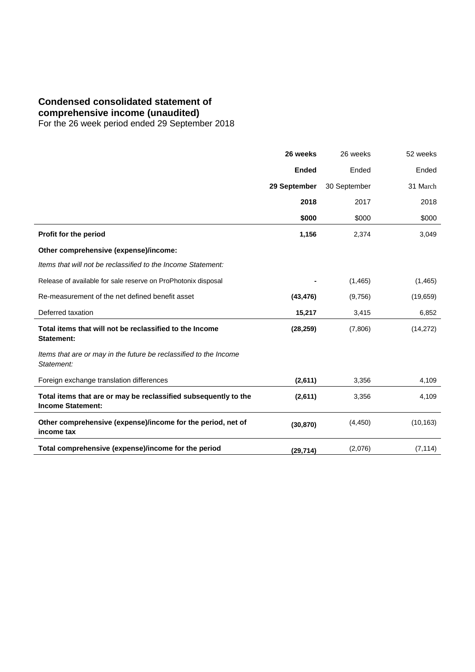# **Condensed consolidated statement of**

**comprehensive income (unaudited)**

For the 26 week period ended 29 September 2018

|                                                                                             | 26 weeks     | 26 weeks     | 52 weeks  |
|---------------------------------------------------------------------------------------------|--------------|--------------|-----------|
|                                                                                             | <b>Ended</b> | Ended        | Ended     |
|                                                                                             | 29 September | 30 September | 31 March  |
|                                                                                             | 2018         | 2017         | 2018      |
|                                                                                             | \$000        | \$000        | \$000     |
| Profit for the period                                                                       | 1,156        | 2,374        | 3,049     |
| Other comprehensive (expense)/income:                                                       |              |              |           |
| Items that will not be reclassified to the Income Statement:                                |              |              |           |
| Release of available for sale reserve on ProPhotonix disposal                               |              | (1,465)      | (1, 465)  |
| Re-measurement of the net defined benefit asset                                             | (43, 476)    | (9,756)      | (19,659)  |
| Deferred taxation                                                                           | 15,217       | 3,415        | 6,852     |
| Total items that will not be reclassified to the Income<br><b>Statement:</b>                | (28, 259)    | (7,806)      | (14, 272) |
| Items that are or may in the future be reclassified to the Income<br>Statement:             |              |              |           |
| Foreign exchange translation differences                                                    | (2,611)      | 3,356        | 4,109     |
| Total items that are or may be reclassified subsequently to the<br><b>Income Statement:</b> | (2,611)      | 3,356        | 4,109     |
| Other comprehensive (expense)/income for the period, net of<br>income tax                   | (30, 870)    | (4, 450)     | (10, 163) |
| Total comprehensive (expense)/income for the period                                         | (29, 714)    | (2,076)      | (7, 114)  |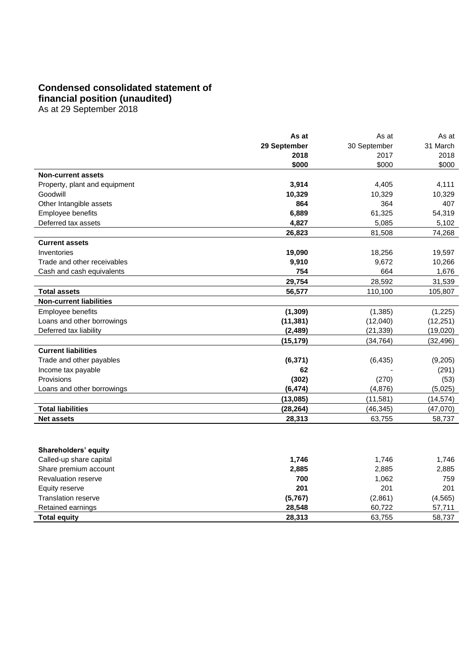# **Condensed consolidated statement of financial position (unaudited)**

As at 29 September 2018

|                                | As at        | As at        | As at     |
|--------------------------------|--------------|--------------|-----------|
|                                | 29 September | 30 September | 31 March  |
|                                | 2018         | 2017         | 2018      |
|                                | \$000        | \$000        | \$000     |
| <b>Non-current assets</b>      |              |              |           |
| Property, plant and equipment  | 3,914        | 4,405        | 4,111     |
| Goodwill                       | 10,329       | 10,329       | 10,329    |
| Other Intangible assets        | 864          | 364          | 407       |
| Employee benefits              | 6,889        | 61,325       | 54,319    |
| Deferred tax assets            | 4,827        | 5,085        | 5,102     |
|                                | 26,823       | 81,508       | 74,268    |
| <b>Current assets</b>          |              |              |           |
| Inventories                    | 19,090       | 18,256       | 19,597    |
| Trade and other receivables    | 9,910        | 9,672        | 10,266    |
| Cash and cash equivalents      | 754          | 664          | 1,676     |
|                                | 29,754       | 28,592       | 31,539    |
| <b>Total assets</b>            | 56,577       | 110,100      | 105,807   |
| <b>Non-current liabilities</b> |              |              |           |
| Employee benefits              | (1, 309)     | (1, 385)     | (1,225)   |
| Loans and other borrowings     | (11, 381)    | (12,040)     | (12, 251) |
| Deferred tax liability         | (2,489)      | (21, 339)    | (19,020)  |
|                                | (15,179)     | (34, 764)    | (32, 496) |
| <b>Current liabilities</b>     |              |              |           |
| Trade and other payables       | (6, 371)     | (6, 435)     | (9,205)   |
| Income tax payable             | 62           |              | (291)     |
| Provisions                     | (302)        | (270)        | (53)      |
| Loans and other borrowings     | (6, 474)     | (4,876)      | (5,025)   |
|                                | (13,085)     | (11,581)     | (14, 574) |
| <b>Total liabilities</b>       | (28, 264)    | (46, 345)    | (47,070)  |
| <b>Net assets</b>              | 28,313       | 63,755       | 58,737    |

# **Shareholders' equity**

| Called-up share capital    | 1,746   | 1,746   | 1.746    |
|----------------------------|---------|---------|----------|
| Share premium account      | 2,885   | 2,885   | 2,885    |
| <b>Revaluation reserve</b> | 700     | 1,062   | 759      |
| Equity reserve             | 201     | 201     | 201      |
| Translation reserve        | (5,767) | (2,861) | (4, 565) |
| Retained earnings          | 28.548  | 60,722  | 57,711   |
| Total equity               | 28,313  | 63,755  | 58,737   |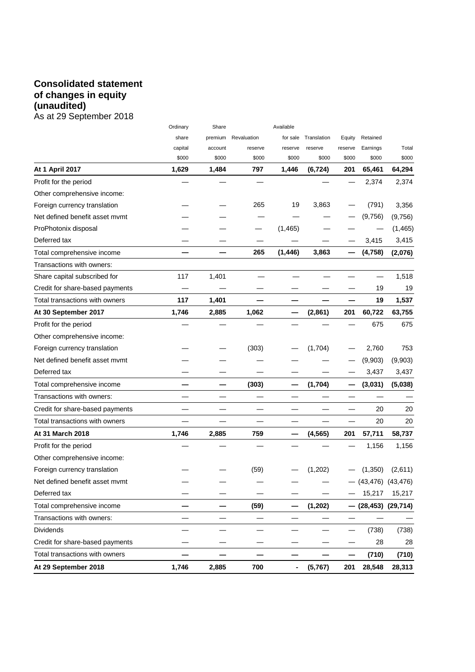# **Consolidated statement of changes in equity (unaudited)** As at 29 September 2018

|                                 | Ordinary | Share   |             | Available |             |                          |                         |         |
|---------------------------------|----------|---------|-------------|-----------|-------------|--------------------------|-------------------------|---------|
|                                 | share    | premium | Revaluation | for sale  | Translation | Equity                   | Retained                |         |
|                                 | capital  | account | reserve     | reserve   | reserve     | reserve                  | Earnings                | Total   |
|                                 | \$000    | \$000   | \$000       | \$000     | \$000       | \$000                    | \$000                   | \$000   |
| <b>At 1 April 2017</b>          | 1,629    | 1,484   | 797         | 1,446     | (6, 724)    | 201                      | 65,461                  | 64,294  |
| Profit for the period           |          |         |             |           |             |                          | 2,374                   | 2,374   |
| Other comprehensive income:     |          |         |             |           |             |                          |                         |         |
| Foreign currency translation    |          |         | 265         | 19        | 3,863       |                          | (791)                   | 3,356   |
| Net defined benefit asset mymt  |          |         |             |           |             |                          | (9,756)                 | (9,756) |
| ProPhotonix disposal            |          |         |             | (1,465)   |             |                          |                         | (1,465) |
| Deferred tax                    |          |         |             |           |             |                          | 3,415                   | 3,415   |
| Total comprehensive income      |          |         | 265         | (1, 446)  | 3,863       | —                        | (4, 758)                | (2,076) |
| Transactions with owners:       |          |         |             |           |             |                          |                         |         |
| Share capital subscribed for    | 117      | 1,401   |             |           |             |                          |                         | 1,518   |
| Credit for share-based payments |          |         |             |           |             |                          | 19                      | 19      |
| Total transactions with owners  | 117      | 1,401   |             |           |             |                          | 19                      | 1,537   |
| At 30 September 2017            | 1,746    | 2,885   | 1,062       |           | (2,861)     | 201                      | 60,722                  | 63,755  |
| Profit for the period           |          |         |             |           |             |                          | 675                     | 675     |
| Other comprehensive income:     |          |         |             |           |             |                          |                         |         |
| Foreign currency translation    |          |         | (303)       |           | (1,704)     |                          | 2,760                   | 753     |
| Net defined benefit asset mymt  |          |         |             |           |             |                          | (9,903)                 | (9,903) |
| Deferred tax                    |          |         |             |           |             |                          | 3,437                   | 3,437   |
| Total comprehensive income      |          |         | (303)       | —         | (1,704)     | —                        | (3,031)                 | (5,038) |
| Transactions with owners:       |          |         |             |           |             |                          |                         |         |
| Credit for share-based payments |          |         |             |           |             |                          | 20                      | 20      |
| Total transactions with owners  |          |         |             |           |             |                          | 20                      | 20      |
| At 31 March 2018                | 1,746    | 2,885   | 759         |           | (4, 565)    | 201                      | 57,711                  | 58,737  |
| Profit for the period           |          |         |             |           |             |                          | 1,156                   | 1,156   |
| Other comprehensive income:     |          |         |             |           |             |                          |                         |         |
| Foreign currency translation    |          |         | (59)        |           | (1, 202)    |                          | (1,350)                 | (2,611) |
| Net defined benefit asset mvmt  |          |         |             |           |             |                          | $-$ (43,476) (43,476)   |         |
| Deferred tax                    |          |         |             |           |             |                          | 15,217                  | 15,217  |
| Total comprehensive income      |          |         | (59)        |           | (1, 202)    |                          | $(28, 453)$ $(29, 714)$ |         |
| Transactions with owners:       |          |         |             |           |             | $\overline{\phantom{0}}$ |                         |         |
| <b>Dividends</b>                |          |         |             |           |             |                          | (738)                   | (738)   |
| Credit for share-based payments |          |         |             |           |             |                          | 28                      | 28      |
| Total transactions with owners  |          |         |             |           |             | —                        | (710)                   | (710)   |
| At 29 September 2018            | 1,746    | 2,885   | 700         | ٠         | (5,767)     | 201                      | 28,548                  | 28,313  |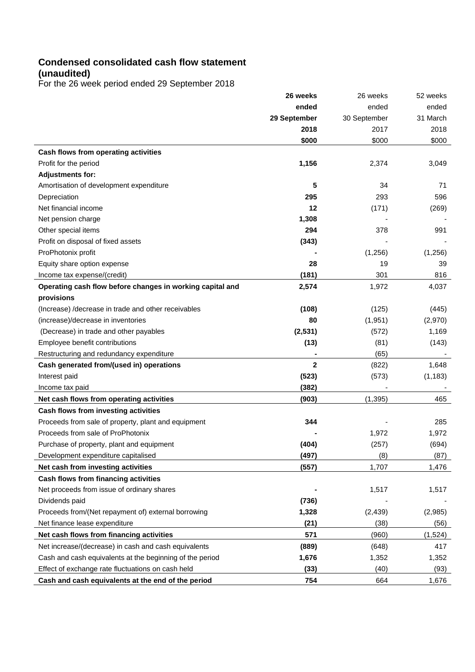# **Condensed consolidated cash flow statement (unaudited)**

For the 26 week period ended 29 September 2018

|                                                           | 26 weeks       | 26 weeks     | 52 weeks |
|-----------------------------------------------------------|----------------|--------------|----------|
|                                                           | ended          | ended        | ended    |
|                                                           | 29 September   | 30 September | 31 March |
|                                                           | 2018           | 2017         | 2018     |
|                                                           | \$000          | \$000        | \$000    |
| Cash flows from operating activities                      |                |              |          |
| Profit for the period                                     | 1,156          | 2,374        | 3,049    |
| <b>Adjustments for:</b>                                   |                |              |          |
| Amortisation of development expenditure                   | 5              | 34           | 71       |
| Depreciation                                              | 295            | 293          | 596      |
| Net financial income                                      | 12             | (171)        | (269)    |
| Net pension charge                                        | 1,308          |              |          |
| Other special items                                       | 294            | 378          | 991      |
| Profit on disposal of fixed assets                        | (343)          |              |          |
| ProPhotonix profit                                        |                | (1,256)      | (1,256)  |
| Equity share option expense                               | 28             | 19           | 39       |
| Income tax expense/(credit)                               | (181)          | 301          | 816      |
| Operating cash flow before changes in working capital and | 2,574          | 1,972        | 4,037    |
| provisions                                                |                |              |          |
| (Increase) /decrease in trade and other receivables       | (108)          | (125)        | (445)    |
| (increase)/decrease in inventories                        | 80             | (1, 951)     | (2,970)  |
| (Decrease) in trade and other payables                    | (2,531)        | (572)        | 1,169    |
| Employee benefit contributions                            | (13)           | (81)         | (143)    |
| Restructuring and redundancy expenditure                  |                | (65)         |          |
| Cash generated from/(used in) operations                  | $\overline{2}$ | (822)        | 1,648    |
| Interest paid                                             | (523)          | (573)        | (1, 183) |
| Income tax paid                                           | (382)          |              |          |
| Net cash flows from operating activities                  | (903)          | (1, 395)     | 465      |
| Cash flows from investing activities                      |                |              |          |
| Proceeds from sale of property, plant and equipment       | 344            |              | 285      |
| Proceeds from sale of ProPhotonix                         |                | 1,972        | 1,972    |
| Purchase of property, plant and equipment                 | (404)          | (257)        | (694)    |
| Development expenditure capitalised                       | (497)          | (8)          | (87)     |
| Net cash from investing activities                        | (557)          | 1,707        | 1,476    |
| Cash flows from financing activities                      |                |              |          |
| Net proceeds from issue of ordinary shares                |                | 1,517        | 1,517    |
| Dividends paid                                            | (736)          |              |          |
| Proceeds from/(Net repayment of) external borrowing       | 1,328          | (2, 439)     | (2,985)  |
| Net finance lease expenditure                             | (21)           | (38)         | (56)     |
| Net cash flows from financing activities                  | 571            | (960)        | (1,524)  |
| Net increase/(decrease) in cash and cash equivalents      | (889)          | (648)        | 417      |
| Cash and cash equivalents at the beginning of the period  | 1,676          | 1,352        | 1,352    |
| Effect of exchange rate fluctuations on cash held         | (33)           | (40)         | (93)     |
| Cash and cash equivalents at the end of the period        | 754            | 664          | 1,676    |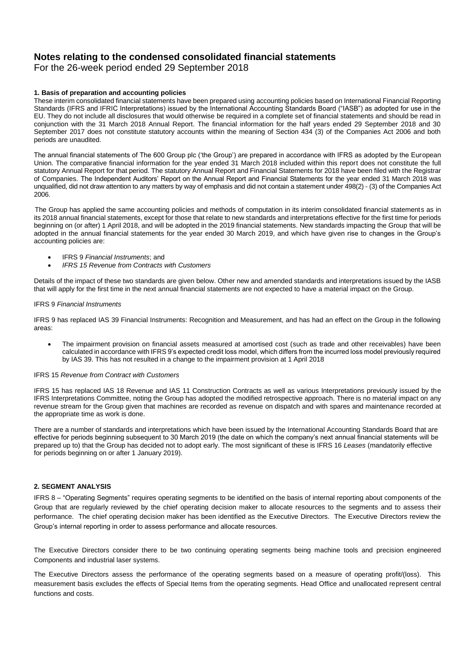# **Notes relating to the condensed consolidated financial statements**

For the 26-week period ended 29 September 2018

### **1. Basis of preparation and accounting policies**

These interim consolidated financial statements have been prepared using accounting policies based on International Financial Reporting Standards (IFRS and IFRIC Interpretations) issued by the International Accounting Standards Board ("IASB") as adopted for use in the EU. They do not include all disclosures that would otherwise be required in a complete set of financial statements and should be read in conjunction with the 31 March 2018 Annual Report. The financial information for the half years ended 29 September 2018 and 30 September 2017 does not constitute statutory accounts within the meaning of Section 434 (3) of the Companies Act 2006 and both periods are unaudited.

The annual financial statements of The 600 Group plc ('the Group') are prepared in accordance with IFRS as adopted by the European Union. The comparative financial information for the year ended 31 March 2018 included within this report does not constitute the full statutory Annual Report for that period. The statutory Annual Report and Financial Statements for 2018 have been filed with the Registrar of Companies. The Independent Auditors' Report on the Annual Report and Financial Statements for the year ended 31 March 2018 was unqualified, did not draw attention to any matters by way of emphasis and did not contain a statement under 498(2) - (3) of the Companies Act 2006.

 The Group has applied the same accounting policies and methods of computation in its interim consolidated financial statements as in its 2018 annual financial statements, except for those that relate to new standards and interpretations effective for the first time for periods beginning on (or after) 1 April 2018, and will be adopted in the 2019 financial statements. New standards impacting the Group that will be adopted in the annual financial statements for the year ended 30 March 2019, and which have given rise to changes in the Group's accounting policies are:

- IFRS 9 *Financial Instruments*; and
- *IFRS 15 Revenue from Contracts with Customers*

Details of the impact of these two standards are given below. Other new and amended standards and interpretations issued by the IASB that will apply for the first time in the next annual financial statements are not expected to have a material impact on the Group.

#### IFRS 9 *Financial Instruments*

IFRS 9 has replaced IAS 39 Financial Instruments: Recognition and Measurement, and has had an effect on the Group in the following areas:

• The impairment provision on financial assets measured at amortised cost (such as trade and other receivables) have been calculated in accordance with IFRS 9's expected credit loss model, which differs from the incurred loss model previously required by IAS 39. This has not resulted in a change to the impairment provision at 1 April 2018

#### IFRS 15 *Revenue from Contract with Customers*

IFRS 15 has replaced IAS 18 Revenue and IAS 11 Construction Contracts as well as various Interpretations previously issued by the IFRS Interpretations Committee, noting the Group has adopted the modified retrospective approach. There is no material impact on any revenue stream for the Group given that machines are recorded as revenue on dispatch and with spares and maintenance recorded at the appropriate time as work is done.

There are a number of standards and interpretations which have been issued by the International Accounting Standards Board that are effective for periods beginning subsequent to 30 March 2019 (the date on which the company's next annual financial statements will be prepared up to) that the Group has decided not to adopt early. The most significant of these is IFRS 16 *Leases* (mandatorily effective for periods beginning on or after 1 January 2019).

## **2. SEGMENT ANALYSIS**

IFRS 8 – "Operating Segments" requires operating segments to be identified on the basis of internal reporting about components of the Group that are regularly reviewed by the chief operating decision maker to allocate resources to the segments and to assess their performance. The chief operating decision maker has been identified as the Executive Directors. The Executive Directors review the Group's internal reporting in order to assess performance and allocate resources.

The Executive Directors consider there to be two continuing operating segments being machine tools and precision engineered Components and industrial laser systems.

The Executive Directors assess the performance of the operating segments based on a measure of operating profit/(loss). This measurement basis excludes the effects of Special Items from the operating segments. Head Office and unallocated represent central functions and costs.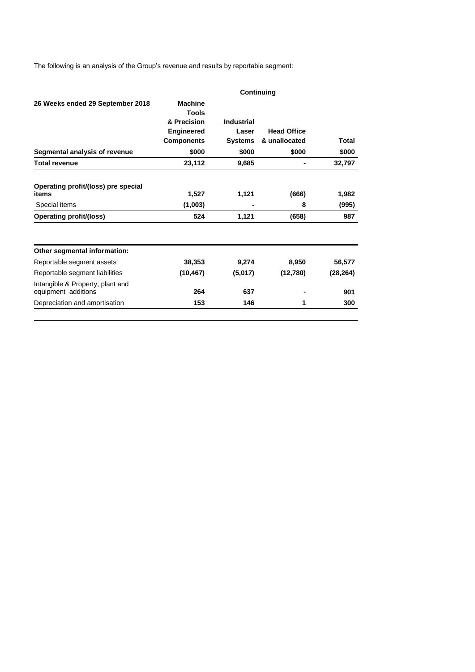The following is an analysis of the Group's revenue and results by reportable segment:

|                                                         | Continuing                                    |                   |                    |           |  |  |
|---------------------------------------------------------|-----------------------------------------------|-------------------|--------------------|-----------|--|--|
| 26 Weeks ended 29 September 2018                        | <b>Machine</b><br><b>Tools</b><br>& Precision | <b>Industrial</b> |                    |           |  |  |
|                                                         | <b>Engineered</b>                             | Laser             | <b>Head Office</b> |           |  |  |
|                                                         | <b>Components</b>                             | <b>Systems</b>    | & unallocated      | Total     |  |  |
| Segmental analysis of revenue                           | \$000                                         | \$000             | \$000              | \$000     |  |  |
| <b>Total revenue</b>                                    | 23,112                                        | 9,685             |                    | 32,797    |  |  |
| Operating profit/(loss) pre special<br>items            | 1,527                                         | 1,121             | (666)              | 1,982     |  |  |
| Special items                                           | (1,003)                                       | ۰                 | 8                  | (995)     |  |  |
| <b>Operating profit/(loss)</b>                          | 524                                           | 1,121             | (658)              | 987       |  |  |
| Other segmental information:                            |                                               |                   |                    |           |  |  |
| Reportable segment assets                               | 38,353                                        | 9,274             | 8,950              | 56,577    |  |  |
| Reportable segment liabilities                          | (10, 467)                                     | (5,017)           | (12,780)           | (28, 264) |  |  |
| Intangible & Property, plant and<br>equipment additions | 264                                           | 637               |                    | 901       |  |  |
| Depreciation and amortisation                           | 153                                           | 146               | 1                  | 300       |  |  |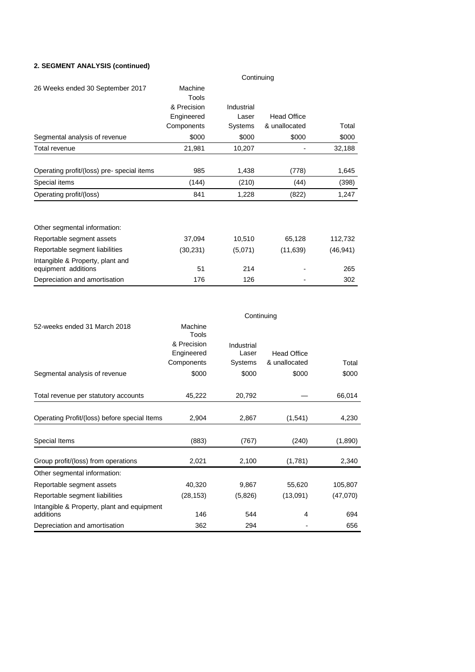# **2. SEGMENT ANALYSIS (continued)**

|                                                         | Continuing  |            |                    |           |  |  |
|---------------------------------------------------------|-------------|------------|--------------------|-----------|--|--|
| 26 Weeks ended 30 September 2017                        | Machine     |            |                    |           |  |  |
|                                                         | Tools       |            |                    |           |  |  |
|                                                         | & Precision | Industrial |                    |           |  |  |
|                                                         | Engineered  | Laser      | <b>Head Office</b> |           |  |  |
|                                                         | Components  | Systems    | & unallocated      | Total     |  |  |
| Segmental analysis of revenue                           | \$000       | \$000      | \$000              | \$000     |  |  |
| Total revenue                                           | 21,981      | 10,207     |                    | 32,188    |  |  |
|                                                         |             |            |                    |           |  |  |
| Operating profit/(loss) pre-special items               | 985         | 1,438      | (778)              | 1,645     |  |  |
| Special items                                           | (144)       | (210)      | (44)               | (398)     |  |  |
| Operating profit/(loss)                                 | 841         | 1,228      | (822)              | 1,247     |  |  |
| Other segmental information:                            |             |            |                    |           |  |  |
| Reportable segment assets                               | 37,094      | 10,510     | 65,128             | 112,732   |  |  |
| Reportable segment liabilities                          | (30, 231)   | (5,071)    | (11, 639)          | (46, 941) |  |  |
| Intangible & Property, plant and<br>equipment additions | 51          | 214        |                    | 265       |  |  |
| Depreciation and amortisation                           | 176         | 126        |                    | 302       |  |  |

|                                                         | Continuing       |            |                    |          |  |  |
|---------------------------------------------------------|------------------|------------|--------------------|----------|--|--|
| 52-weeks ended 31 March 2018                            | Machine<br>Tools |            |                    |          |  |  |
|                                                         | & Precision      | Industrial |                    |          |  |  |
|                                                         | Engineered       | Laser      | <b>Head Office</b> |          |  |  |
|                                                         | Components       | Systems    | & unallocated      | Total    |  |  |
| Segmental analysis of revenue                           | \$000            | \$000      | \$000              | \$000    |  |  |
|                                                         |                  |            |                    |          |  |  |
| Total revenue per statutory accounts                    | 45,222           | 20,792     |                    | 66,014   |  |  |
|                                                         |                  |            |                    |          |  |  |
| Operating Profit/(loss) before special Items            | 2,904            | 2,867      | (1,541)            | 4,230    |  |  |
|                                                         |                  |            |                    |          |  |  |
| Special Items                                           | (883)            | (767)      | (240)              | (1,890)  |  |  |
| Group profit/(loss) from operations                     | 2,021            | 2,100      | (1,781)            | 2,340    |  |  |
| Other segmental information:                            |                  |            |                    |          |  |  |
| Reportable segment assets                               | 40,320           | 9,867      | 55,620             | 105,807  |  |  |
| Reportable segment liabilities                          | (28, 153)        | (5,826)    | (13,091)           | (47,070) |  |  |
| Intangible & Property, plant and equipment<br>additions | 146              | 544        | 4                  | 694      |  |  |
| Depreciation and amortisation                           | 362              | 294        |                    | 656      |  |  |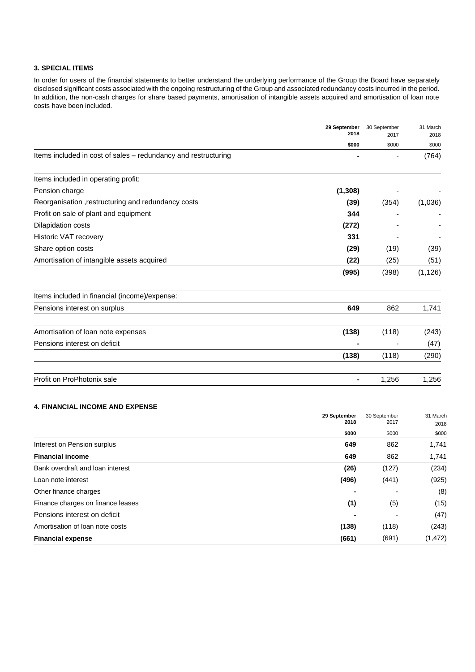## **3. SPECIAL ITEMS**

In order for users of the financial statements to better understand the underlying performance of the Group the Board have separately disclosed significant costs associated with the ongoing restructuring of the Group and associated redundancy costs incurred in the period. In addition, the non-cash charges for share based payments, amortisation of intangible assets acquired and amortisation of loan note costs have been included.

| 29 September<br>2018                                           | 30 September  | 31 March      |
|----------------------------------------------------------------|---------------|---------------|
| \$000                                                          | 2017<br>\$000 | 2018<br>\$000 |
| Items included in cost of sales - redundancy and restructuring |               | (764)         |
| Items included in operating profit:                            |               |               |
| (1,308)<br>Pension charge                                      |               |               |
| Reorganisation, restructuring and redundancy costs<br>(39)     | (354)         | (1,036)       |
| Profit on sale of plant and equipment<br>344                   |               |               |
| Dilapidation costs<br>(272)                                    |               |               |
| Historic VAT recovery<br>331                                   |               |               |
| Share option costs<br>(29)                                     | (19)          | (39)          |
| Amortisation of intangible assets acquired<br>(22)             | (25)          | (51)          |
| (995)                                                          | (398)         | (1, 126)      |
| Items included in financial (income)/expense:                  |               |               |
| 649<br>Pensions interest on surplus                            | 862           | 1,741         |
| Amortisation of loan note expenses<br>(138)                    | (118)         | (243)         |
| Pensions interest on deficit                                   |               | (47)          |
| (138)                                                          | (118)         | (290)         |
| Profit on ProPhotonix sale<br>$\blacksquare$                   | 1,256         | 1,256         |

# **4. FINANCIAL INCOME AND EXPENSE**

|                                   | 29 September | 30 September | 31 March |
|-----------------------------------|--------------|--------------|----------|
|                                   | 2018         | 2017         | 2018     |
|                                   | \$000        | \$000        | \$000    |
| Interest on Pension surplus       | 649          | 862          | 1,741    |
| <b>Financial income</b>           | 649          | 862          | 1,741    |
| Bank overdraft and loan interest  | (26)         | (127)        | (234)    |
| Loan note interest                | (496)        | (441)        | (925)    |
| Other finance charges             |              |              | (8)      |
| Finance charges on finance leases | (1)          | (5)          | (15)     |
| Pensions interest on deficit      |              |              | (47)     |
| Amortisation of loan note costs   | (138)        | (118)        | (243)    |
| <b>Financial expense</b>          | (661)        | (691)        | (1, 472) |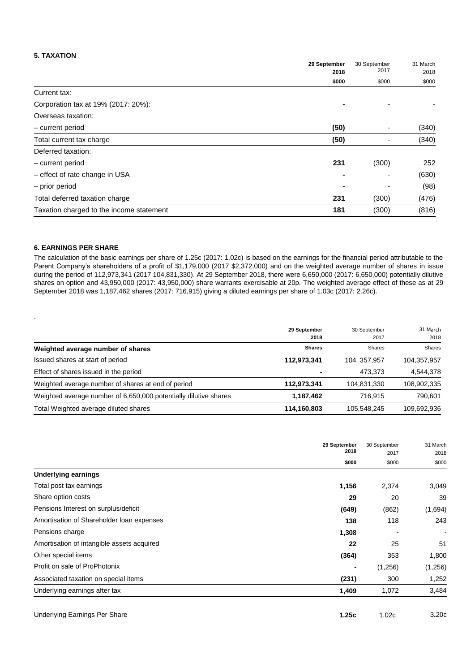#### **5. TAXATION**

|                                          | 29 September | 30 September<br>2017 | 31 March |
|------------------------------------------|--------------|----------------------|----------|
|                                          | 2018         |                      | 2018     |
|                                          | \$000        | \$000                | \$000    |
| Current tax:                             |              |                      |          |
| Corporation tax at 19% (2017: 20%):      |              |                      |          |
| Overseas taxation:                       |              |                      |          |
| - current period                         | (50)         |                      | (340)    |
| Total current tax charge                 | (50)         | -                    | (340)    |
| Deferred taxation:                       |              |                      |          |
| - current period                         | 231          | (300)                | 252      |
| - effect of rate change in USA           |              |                      | (630)    |
| - prior period                           |              |                      | (98)     |
| Total deferred taxation charge           | 231          | (300)                | (476)    |
| Taxation charged to the income statement | 181          | (300)                | (816)    |

### **6. EARNINGS PER SHARE**

.

The calculation of the basic earnings per share of 1.25c (2017: 1.02c) is based on the earnings for the financial period attributable to the Parent Company's shareholders of a profit of \$1,179,000 (2017 \$2,372,000) and on the weighted average number of shares in issue during the period of 112,973,341 (2017 104,831,330). At 29 September 2018, there were 6,650,000 (2017: 6,650,000) potentially dilutive shares on option and 43,950,000 (2017: 43,950,000) share warrants exercisable at 20p. The weighted average effect of these as at 29 September 2018 was 1,187,462 shares (2017: 716,915) giving a diluted earnings per share of 1.03c (2017: 2.26c).

|                                                                  | 29 September<br>2018 | 30 September<br>2017 | 31 March<br>2018 |
|------------------------------------------------------------------|----------------------|----------------------|------------------|
| Weighted average number of shares                                | <b>Shares</b>        | <b>Shares</b>        | <b>Shares</b>    |
| Issued shares at start of period                                 | 112,973,341          | 104, 357, 957        | 104,357,957      |
| Effect of shares issued in the period                            |                      | 473,373              | 4,544,378        |
| Weighted average number of shares at end of period               | 112,973,341          | 104,831,330          | 108,902,335      |
| Weighted average number of 6,650,000 potentially dilutive shares | 1,187,462            | 716.915              | 790,601          |
| Total Weighted average diluted shares                            | 114,160,803          | 105,548,245          | 109,692,936      |

|                                            | 29 September<br>2018 | 30 September<br>2017 | 31 March<br>2018         |
|--------------------------------------------|----------------------|----------------------|--------------------------|
|                                            | \$000                | \$000                | \$000                    |
| <b>Underlying earnings</b>                 |                      |                      |                          |
| Total post tax earnings                    | 1,156                | 2,374                | 3,049                    |
| Share option costs                         | 29                   | 20                   | 39                       |
| Pensions Interest on surplus/deficit       | (649)                | (862)                | (1,694)                  |
| Amortisation of Shareholder Ioan expenses  | 138                  | 118                  | 243                      |
| Pensions charge                            | 1,308                |                      | $\overline{\phantom{a}}$ |
| Amortisation of intangible assets acquired | 22                   | 25                   | 51                       |
| Other special items                        | (364)                | 353                  | 1,800                    |
| Profit on sale of ProPhotonix              |                      | (1,256)              | (1,256)                  |
| Associated taxation on special items       | (231)                | 300                  | 1,252                    |
| Underlying earnings after tax              | 1,409                | 1,072                | 3,484                    |

| Underlying Earnings Per Share | 1.25c | 1.02c | 3.20c |
|-------------------------------|-------|-------|-------|
|                               |       |       |       |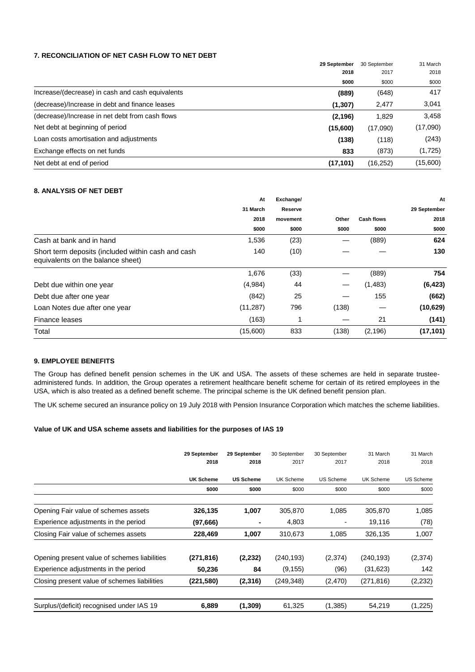### **7. RECONCILIATION OF NET CASH FLOW TO NET DEBT**

|                                                  | 29 September<br>2018 | 30 September<br>2017 | 31 March |
|--------------------------------------------------|----------------------|----------------------|----------|
|                                                  |                      |                      | 2018     |
|                                                  | \$000                | \$000                | \$000    |
| Increase/(decrease) in cash and cash equivalents | (889)                | (648)                | 417      |
| (decrease)/Increase in debt and finance leases   | (1, 307)             | 2,477                | 3,041    |
| (decrease)/Increase in net debt from cash flows  | (2, 196)             | 1,829                | 3,458    |
| Net debt at beginning of period                  | (15,600)             | (17,090)             | (17,090) |
| Loan costs amortisation and adjustments          | (138)                | (118)                | (243)    |
| Exchange effects on net funds                    | 833                  | (873)                | (1,725)  |
| Net debt at end of period                        | (17, 101)            | (16, 252)            | (15,600) |

### **8. ANALYSIS OF NET DEBT**

|                                                                                         | At        | Exchange/ |       |                   | At           |
|-----------------------------------------------------------------------------------------|-----------|-----------|-------|-------------------|--------------|
|                                                                                         | 31 March  | Reserve   |       |                   | 29 September |
|                                                                                         | 2018      | movement  | Other | <b>Cash flows</b> | 2018         |
|                                                                                         | \$000     | \$000     | \$000 | \$000             | \$000        |
| Cash at bank and in hand                                                                | 1,536     | (23)      |       | (889)             | 624          |
| Short term deposits (included within cash and cash<br>equivalents on the balance sheet) | 140       | (10)      |       |                   | 130          |
|                                                                                         | 1,676     | (33)      |       | (889)             | 754          |
| Debt due within one year                                                                | (4,984)   | 44        |       | (1,483)           | (6, 423)     |
| Debt due after one year                                                                 | (842)     | 25        |       | 155               | (662)        |
| Loan Notes due after one year                                                           | (11, 287) | 796       | (138) |                   | (10,629)     |
| Finance leases                                                                          | (163)     |           |       | 21                | (141)        |
| Total                                                                                   | (15,600)  | 833       | (138) | (2, 196)          | (17, 101)    |

#### **9. EMPLOYEE BENEFITS**

The Group has defined benefit pension schemes in the UK and USA. The assets of these schemes are held in separate trusteeadministered funds. In addition, the Group operates a retirement healthcare benefit scheme for certain of its retired employees in the USA, which is also treated as a defined benefit scheme. The principal scheme is the UK defined benefit pension plan.

The UK scheme secured an insurance policy on 19 July 2018 with Pension Insurance Corporation which matches the scheme liabilities.

### **Value of UK and USA scheme assets and liabilities for the purposes of IAS 19**

|                                              | 29 September<br>2018 | 29 September<br>2018 | 30 September<br>2017 | 30 September<br>2017 | 31 March<br>2018 | 31 March<br>2018 |
|----------------------------------------------|----------------------|----------------------|----------------------|----------------------|------------------|------------------|
|                                              | <b>UK Scheme</b>     | <b>US Scheme</b>     | <b>UK Scheme</b>     | <b>US Scheme</b>     | <b>UK Scheme</b> | <b>US Scheme</b> |
|                                              | \$000                | \$000                | \$000                | \$000                | \$000            | \$000            |
| Opening Fair value of schemes assets         | 326,135              | 1,007                | 305,870              | 1,085                | 305,870          | 1,085            |
| Experience adjustments in the period         | (97,666)             |                      | 4,803                |                      | 19,116           | (78)             |
| Closing Fair value of schemes assets         | 228,469              | 1,007                | 310,673              | 1,085                | 326,135          | 1,007            |
| Opening present value of schemes liabilities | (271, 816)           | (2,232)              | (240, 193)           | (2,374)              | (240, 193)       | (2,374)          |
| Experience adjustments in the period         | 50,236               | 84                   | (9, 155)             | (96)                 | (31, 623)        | 142              |
| Closing present value of schemes liabilities | (221, 580)           | (2,316)              | (249, 348)           | (2,470)              | (271,816)        | (2, 232)         |
| Surplus/(deficit) recognised under IAS 19    | 6,889                | (1, 309)             | 61,325               | (1, 385)             | 54,219           | (1,225)          |